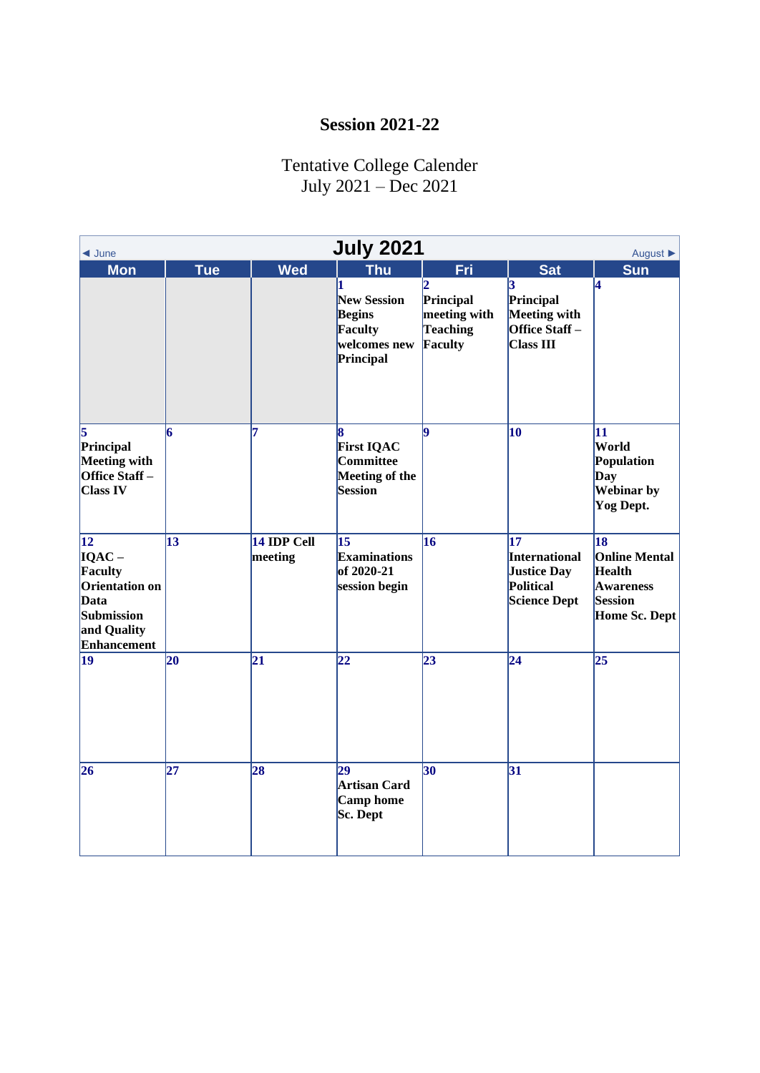## **Session 2021-22**

## Tentative College Calender July 2021 – Dec 2021

| <b>July 2021</b><br>August ▶<br>$\triangleleft$ June                                                    |                 |                        |                                                                             |                                                  |                                                                               |                                                                                                          |  |
|---------------------------------------------------------------------------------------------------------|-----------------|------------------------|-----------------------------------------------------------------------------|--------------------------------------------------|-------------------------------------------------------------------------------|----------------------------------------------------------------------------------------------------------|--|
| <b>Mon</b>                                                                                              | <b>Tue</b>      | <b>Wed</b>             | <b>Thu</b>                                                                  | Fri                                              | <b>Sat</b>                                                                    | <b>Sun</b>                                                                                               |  |
|                                                                                                         |                 |                        | <b>New Session</b><br><b>Begins</b><br>Faculty<br>welcomes new<br>Principal | Principal<br>meeting with<br>Teaching<br>Faculty | Principal<br>Meeting with<br>Office Staff-<br><b>Class III</b>                | 4                                                                                                        |  |
| 5<br>Principal<br>Meeting with<br>Office Staff-<br><b>Class IV</b>                                      | 6               | 7                      | <b>First IQAC</b><br><b>Committee</b><br>Meeting of the<br>Session          | l9                                               | 10                                                                            | 11<br>World<br>Population<br>Day<br><b>Webinar</b> by<br>Yog Dept.                                       |  |
| $\vert$ 12<br>$IQAC -$<br>Faculty<br>Orientation on<br>Data<br>Submission<br>and Quality<br>Enhancement | $\vert$ 13      | 14 IDP Cell<br>meeting | 15<br><b>Examinations</b><br>of 2020-21<br>session begin                    | 16                                               | 17<br>International<br><b>Justice Day</b><br>Political<br><b>Science Dept</b> | $\overline{18}$<br><b>Online Mental</b><br><b>Health</b><br><b>Awareness</b><br>Session<br>Home Sc. Dept |  |
| $\vert$ 19                                                                                              | 20              | $\overline{21}$        | $\overline{22}$                                                             | $\overline{23}$                                  | $\overline{24}$                                                               | $\overline{25}$                                                                                          |  |
| 26                                                                                                      | $\overline{27}$ | 28                     | $\overline{29}$<br><b>Artisan Card</b><br><b>Camp</b> home<br>Sc. Dept      | 30                                               | $\overline{31}$                                                               |                                                                                                          |  |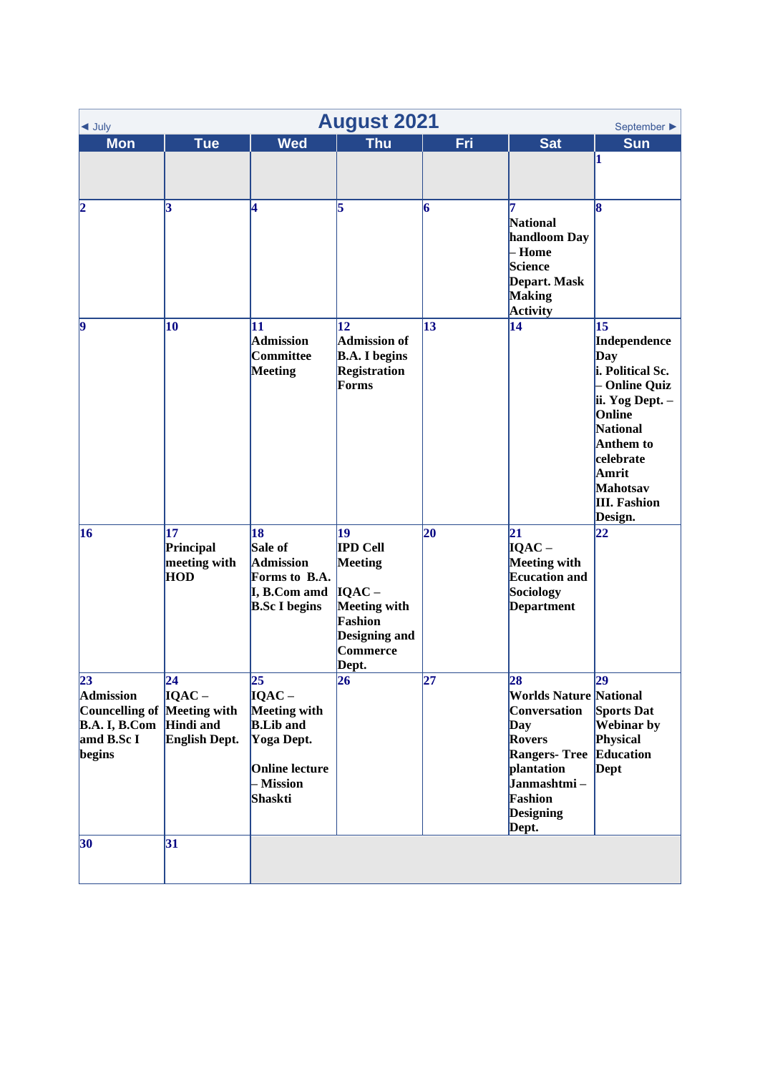| $\triangleleft$ July                                                                                  | <b>August 2021</b><br>September $\blacktriangleright$                                   |                                                                                                                                       |                                                                                                                             |                 |                                                                                                                                                                                    |                                                                                                                                                                                                        |  |  |
|-------------------------------------------------------------------------------------------------------|-----------------------------------------------------------------------------------------|---------------------------------------------------------------------------------------------------------------------------------------|-----------------------------------------------------------------------------------------------------------------------------|-----------------|------------------------------------------------------------------------------------------------------------------------------------------------------------------------------------|--------------------------------------------------------------------------------------------------------------------------------------------------------------------------------------------------------|--|--|
| <b>Mon</b>                                                                                            | <b>Tue</b>                                                                              | <b>Wed</b>                                                                                                                            | <b>Thu</b>                                                                                                                  | Fri             | <b>Sat</b>                                                                                                                                                                         | <b>Sun</b>                                                                                                                                                                                             |  |  |
|                                                                                                       |                                                                                         |                                                                                                                                       |                                                                                                                             |                 |                                                                                                                                                                                    | 1                                                                                                                                                                                                      |  |  |
| $\boldsymbol{\mathsf{2}}$                                                                             | 3                                                                                       | 4                                                                                                                                     | 5                                                                                                                           | 6               | <b>National</b><br>handloom Day<br>- Home<br>Science<br>Depart. Mask<br><b>Making</b><br>Activity                                                                                  | 18                                                                                                                                                                                                     |  |  |
| $ 9\rangle$                                                                                           | 10                                                                                      | 11<br><b>Admission</b><br>Committee<br>Meeting                                                                                        | $\overline{12}$<br><b>Admission of</b><br><b>B.A.</b> I begins<br><b>Registration</b><br>Forms                              | 13              | 14                                                                                                                                                                                 | 15<br>Independence<br>Day<br>i. Political Sc.<br>- Online Quiz<br>ii. Yog Dept. -<br>Online<br>National<br><b>Anthem to</b><br>celebrate<br>Amrit<br><b>Mahotsav</b><br><b>III.</b> Fashion<br>Design. |  |  |
| 16                                                                                                    | 17<br>Principal<br>meeting with<br><b>HOD</b>                                           | 18<br>Sale of<br><b>Admission</b><br>Forms to B.A.<br>I, B.Com amd<br><b>B.Sc I begins</b>                                            | 19<br><b>IPD Cell</b><br>Meeting<br>$IQAC -$<br><b>Meeting with</b><br>Fashion<br><b>Designing and</b><br>Commerce<br>Dept. | 20              | 21<br>$IOAC -$<br>Meeting with<br><b>Ecucation and</b><br>Sociology<br><b>Department</b>                                                                                           | 22                                                                                                                                                                                                     |  |  |
| $\overline{23}$<br><b>Admission</b><br>Councelling of<br><b>B.A. I, B.Com</b><br>amd B.Sc I<br>begins | $\overline{24}$<br>$IQAC -$<br><b>Meeting</b> with<br><b>Hindi</b> and<br>English Dept. | $\overline{25}$<br>$IQAC -$<br><b>Meeting with</b><br><b>B.Lib</b> and<br>Yoga Dept.<br><b>Online lecture</b><br>- Mission<br>Shaskti | 26                                                                                                                          | $\overline{27}$ | 28<br><b>Worlds Nature National</b><br>Conversation<br>Day<br><b>Rovers</b><br><b>Rangers- Tree Education</b><br>plantation<br>Janmashtmi-<br>Fashion<br><b>Designing</b><br>Dept. | $\overline{29}$<br>Sports Dat<br><b>Webinar</b> by<br>Physical<br><b>Dept</b>                                                                                                                          |  |  |
| 30                                                                                                    | 31                                                                                      |                                                                                                                                       |                                                                                                                             |                 |                                                                                                                                                                                    |                                                                                                                                                                                                        |  |  |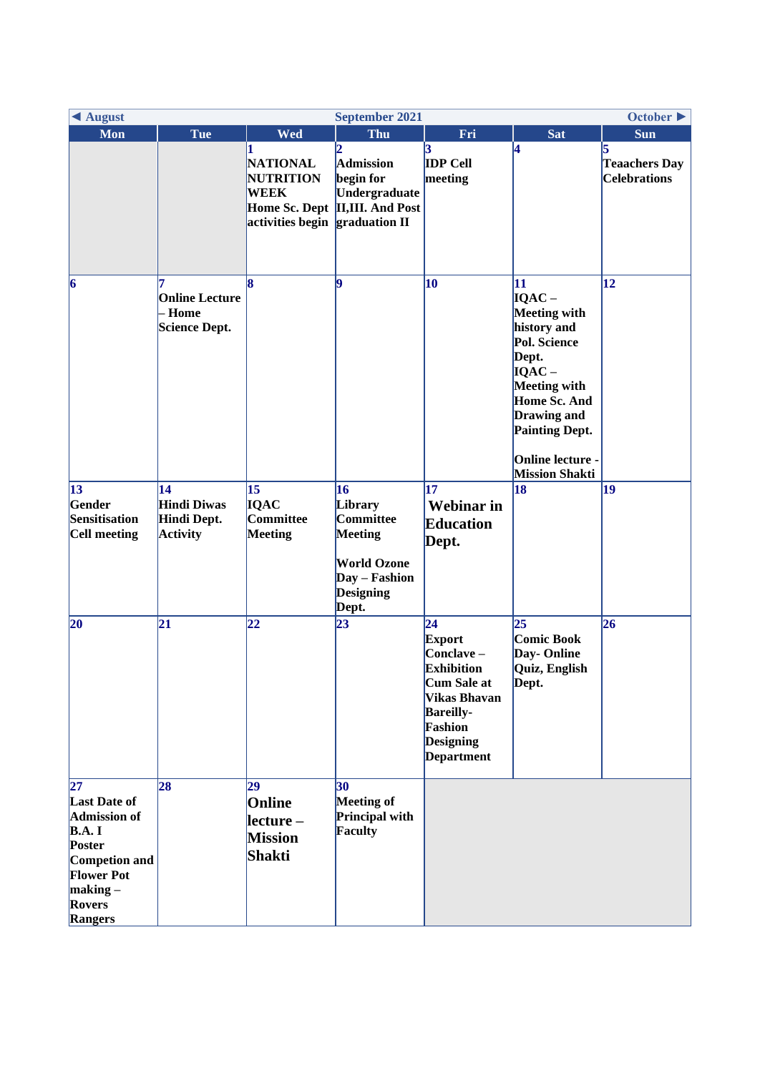| ◀ August<br>October $\blacktriangleright$<br><b>September 2021</b>                                                                                                         |                                                            |                                                                        |                                                                                                                     |                                                                                                                                                                                         |                                                                                                                                                                                                                |                                                  |
|----------------------------------------------------------------------------------------------------------------------------------------------------------------------------|------------------------------------------------------------|------------------------------------------------------------------------|---------------------------------------------------------------------------------------------------------------------|-----------------------------------------------------------------------------------------------------------------------------------------------------------------------------------------|----------------------------------------------------------------------------------------------------------------------------------------------------------------------------------------------------------------|--------------------------------------------------|
| Mon                                                                                                                                                                        | Tue                                                        | <b>Wed</b>                                                             | Thu                                                                                                                 | Fri                                                                                                                                                                                     | <b>Sat</b>                                                                                                                                                                                                     | <b>Sun</b>                                       |
|                                                                                                                                                                            |                                                            | <b>NATIONAL</b><br><b>NUTRITION</b><br><b>WEEK</b><br>activities begin | $\overline{2}$<br><b>Admission</b><br>begin for<br>Undergraduate<br>Home Sc. Dept II,III. And Post<br>graduation II | <b>IDP Cell</b><br>meeting                                                                                                                                                              | 4                                                                                                                                                                                                              | 5<br><b>Teaachers Day</b><br><b>Celebrations</b> |
| $ 6\rangle$                                                                                                                                                                | <b>Online Lecture</b><br>- Home<br><b>Science Dept.</b>    | 8                                                                      | 19                                                                                                                  | 10                                                                                                                                                                                      | 11<br>$IQAC -$<br><b>Meeting with</b><br>history and<br>Pol. Science<br>Dept.<br>$IQAC -$<br><b>Meeting with</b><br>Home Sc. And<br>Drawing and<br>Painting Dept.<br>Online lecture -<br><b>Mission Shakti</b> | 12                                               |
| 13<br>Gender<br>Sensitisation<br>Cell meeting                                                                                                                              | 14<br><b>Hindi Diwas</b><br>Hindi Dept.<br><b>Activity</b> | 15<br><b>IQAC</b><br>Committee<br><b>Meeting</b>                       | 16<br>Library<br>Committee<br><b>Meeting</b><br><b>World Ozone</b><br>Day - Fashion<br><b>Designing</b><br>Dept.    | 17<br><b>Webinar</b> in<br><b>Education</b><br>Dept.                                                                                                                                    | 18                                                                                                                                                                                                             | 19                                               |
| 20                                                                                                                                                                         | 21                                                         | 22                                                                     | $\overline{23}$                                                                                                     | $\overline{24}$<br><b>Export</b><br>Conclave-<br><b>Exhibition</b><br><b>Cum Sale at</b><br><b>Vikas Bhavan</b><br><b>Bareilly-</b><br>Fashion<br><b>Designing</b><br><b>Department</b> | 25<br><b>Comic Book</b><br>Day-Online<br>Quiz, English<br>Dept.                                                                                                                                                | 26                                               |
| $\overline{27}$<br><b>Last Date of</b><br><b>Admission of</b><br>$\mathbf{B.A. I}$<br>Poster<br>Competion and<br><b>Flower Pot</b><br>making –<br><b>Rovers</b><br>Rangers | 28                                                         | 29<br>Online<br>$lecture -$<br><b>Mission</b><br>Shakti                | 30<br>Meeting of<br>Principal with<br>Faculty                                                                       |                                                                                                                                                                                         |                                                                                                                                                                                                                |                                                  |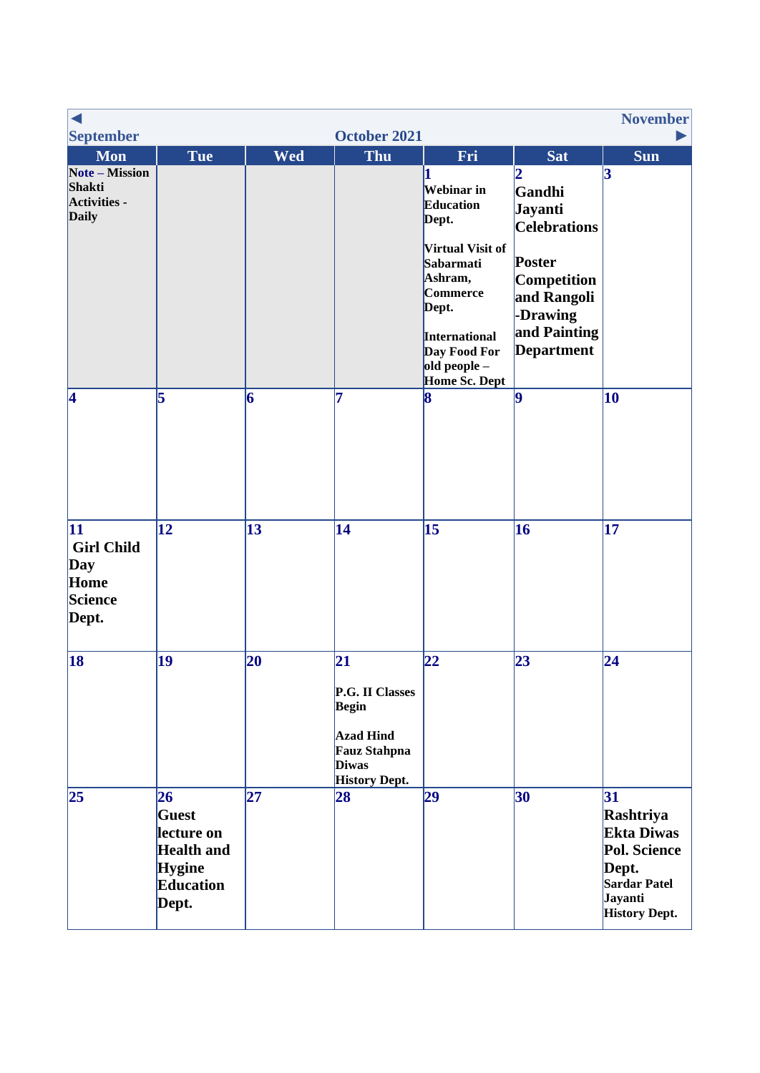|                                                                                      |                                                                                              |            |                                                                                                                           |                                                                                                                                                                                                     |                                                                                                                                                             | <b>November</b>                                                                                                         |
|--------------------------------------------------------------------------------------|----------------------------------------------------------------------------------------------|------------|---------------------------------------------------------------------------------------------------------------------------|-----------------------------------------------------------------------------------------------------------------------------------------------------------------------------------------------------|-------------------------------------------------------------------------------------------------------------------------------------------------------------|-------------------------------------------------------------------------------------------------------------------------|
| <b>September</b>                                                                     |                                                                                              |            | October 2021                                                                                                              |                                                                                                                                                                                                     |                                                                                                                                                             |                                                                                                                         |
| <b>Mon</b><br><b>Note – Mission</b><br>Shakti<br><b>Activities -</b><br><b>Daily</b> | <b>Tue</b>                                                                                   | <b>Wed</b> | <b>Thu</b>                                                                                                                | Fri<br>Webinar in<br><b>Education</b><br>Dept.<br><b>Virtual Visit of</b><br>Sabarmati<br>Ashram,<br><b>Commerce</b><br>Dept.<br>International<br>Day Food For<br>$old$ people $-$<br>Home Sc. Dept | <b>Sat</b><br>2<br>Gandhi<br>Jayanti<br><b>Celebrations</b><br>Poster<br><b>Competition</b><br>and Rangoli<br>-Drawing<br>and Painting<br><b>Department</b> | <b>Sun</b><br>$\mathbf{3}$                                                                                              |
| 4                                                                                    | 5                                                                                            | 6          | 7                                                                                                                         | 8                                                                                                                                                                                                   | $\vert$ 9                                                                                                                                                   | 10                                                                                                                      |
| 11<br><b>Girl Child</b><br>Day<br>Home<br>Science<br>Dept.                           | $\mathbf{12}$                                                                                | 13         | 14                                                                                                                        | 15                                                                                                                                                                                                  | 16                                                                                                                                                          | 17                                                                                                                      |
| 18                                                                                   | 19                                                                                           | 20         | 21 <br>P.G. II Classes<br><b>Begin</b><br><b>Azad Hind</b><br><b>Fauz Stahpna</b><br><b>Diwas</b><br><b>History Dept.</b> | 22                                                                                                                                                                                                  | 23                                                                                                                                                          | $\overline{24}$                                                                                                         |
| 25                                                                                   | 26<br>Guest<br>lecture on<br><b>Health</b> and<br><b>Hygine</b><br><b>Education</b><br>Dept. | 27         | 28                                                                                                                        | 29                                                                                                                                                                                                  | 30                                                                                                                                                          | 31<br>Rashtriya<br><b>Ekta Diwas</b><br>Pol. Science<br>Dept.<br><b>Sardar Patel</b><br>Jayanti<br><b>History Dept.</b> |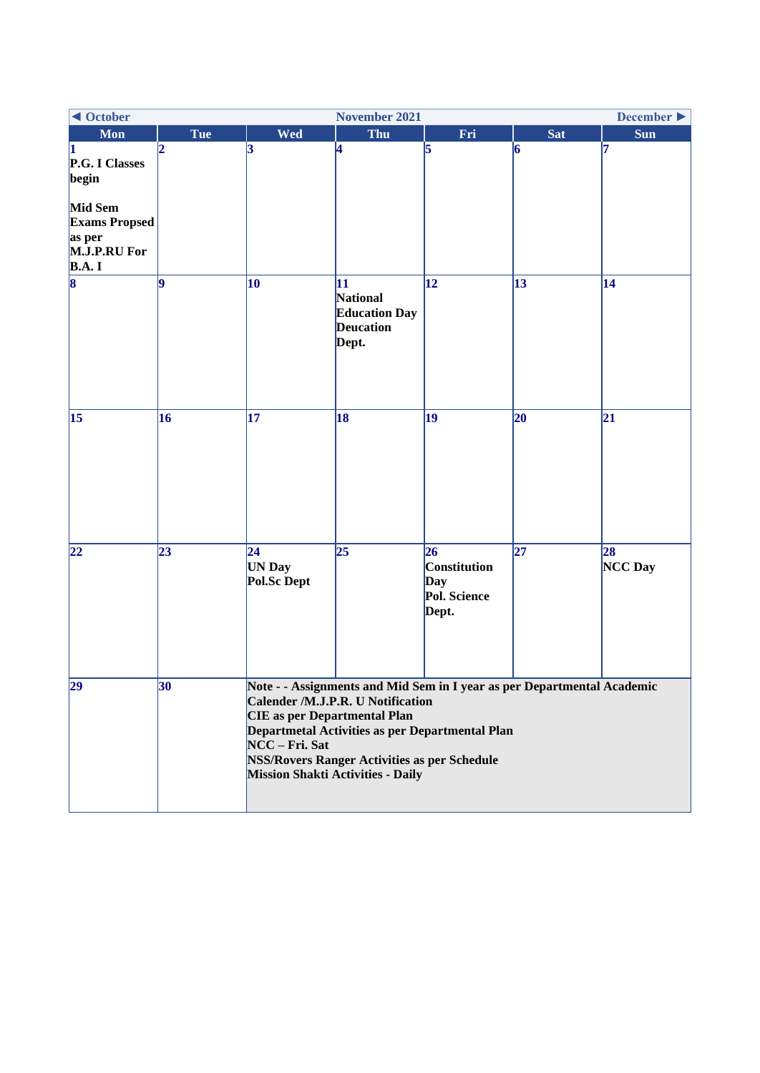| ◀ October<br><b>November 2021</b>                                         |            |                                                                                                                                                                                                                                                                                                                      |                                                                     |                                                                  |            | December $\blacktriangleright$ |  |
|---------------------------------------------------------------------------|------------|----------------------------------------------------------------------------------------------------------------------------------------------------------------------------------------------------------------------------------------------------------------------------------------------------------------------|---------------------------------------------------------------------|------------------------------------------------------------------|------------|--------------------------------|--|
| <b>Mon</b>                                                                | <b>Tue</b> | <b>Wed</b>                                                                                                                                                                                                                                                                                                           | Thu                                                                 | Fri                                                              | <b>Sat</b> | <b>Sun</b>                     |  |
| 1<br>P.G. I Classes<br>begin                                              |            | 3                                                                                                                                                                                                                                                                                                                    | 4                                                                   | 5                                                                | 6          | 17                             |  |
| Mid Sem<br><b>Exams Propsed</b><br>as per<br>M.J.P.RU For<br><b>B.A.I</b> |            |                                                                                                                                                                                                                                                                                                                      |                                                                     |                                                                  |            |                                |  |
| $\overline{\mathbf{8}}$                                                   | l9         | 10                                                                                                                                                                                                                                                                                                                   | 11<br>National<br><b>Education Day</b><br><b>Deucation</b><br>Dept. | $\overline{12}$                                                  | 13         | 14                             |  |
| $\vert 15 \vert$                                                          | 16         | 17                                                                                                                                                                                                                                                                                                                   | 18                                                                  | 19                                                               | 20         | 21                             |  |
| 22                                                                        | 23         | 24 <br><b>UN Day</b><br>Pol.Sc Dept                                                                                                                                                                                                                                                                                  | 25                                                                  | 26<br><b>Constitution</b><br><b>Day</b><br>Pol. Science<br>Dept. | 27         | 28<br>NCC Day                  |  |
| 29                                                                        | 30         | Note - - Assignments and Mid Sem in I year as per Departmental Academic<br>Calender /M.J.P.R. U Notification<br><b>CIE</b> as per Departmental Plan<br>Departmetal Activities as per Departmental Plan<br>NCC - Fri. Sat<br><b>NSS/Rovers Ranger Activities as per Schedule</b><br>Mission Shakti Activities - Daily |                                                                     |                                                                  |            |                                |  |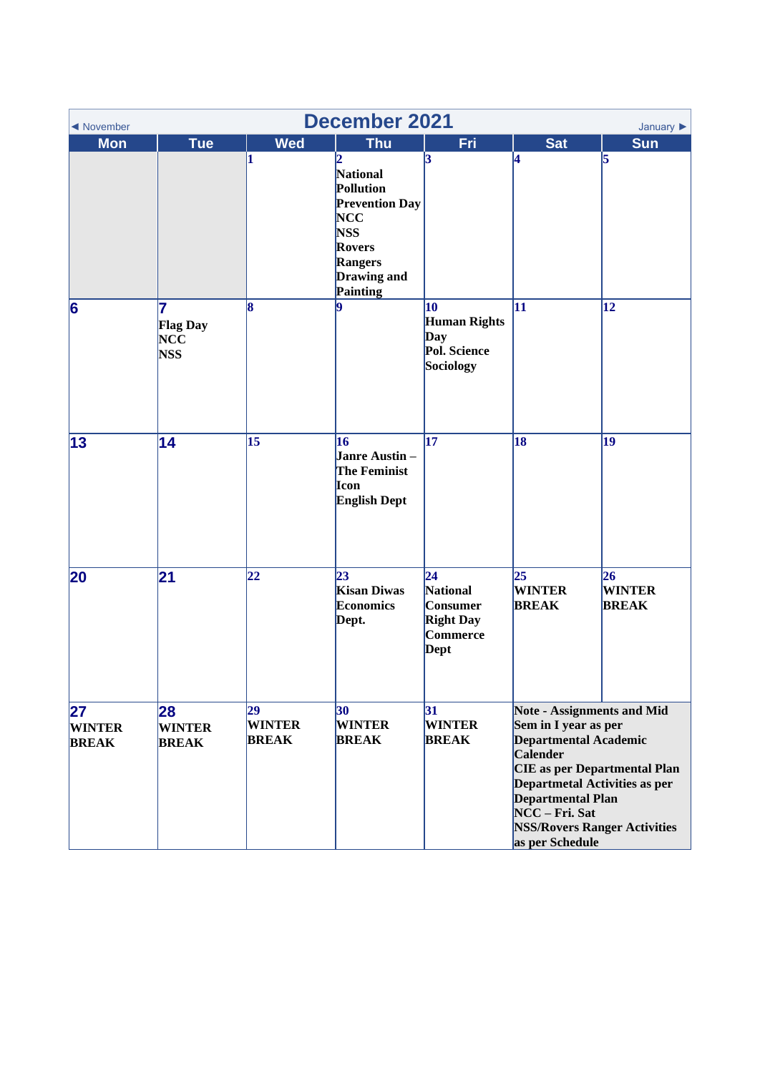| <b>December 2021</b><br>◀ November<br>January $\blacktriangleright$ |                                                  |                                     |                                                                                                                                         |                                                                                               |                                                                                                                                                                                                                                                                                                     |                                      |  |  |
|---------------------------------------------------------------------|--------------------------------------------------|-------------------------------------|-----------------------------------------------------------------------------------------------------------------------------------------|-----------------------------------------------------------------------------------------------|-----------------------------------------------------------------------------------------------------------------------------------------------------------------------------------------------------------------------------------------------------------------------------------------------------|--------------------------------------|--|--|
| <b>Mon</b>                                                          | <b>Tue</b>                                       | <b>Wed</b>                          | <b>Thu</b>                                                                                                                              | Fri                                                                                           | <b>Sat</b>                                                                                                                                                                                                                                                                                          | <b>Sun</b>                           |  |  |
|                                                                     |                                                  | 11                                  | 12<br><b>National</b><br>Pollution<br><b>Prevention Day</b><br><b>NCC</b><br><b>NSS</b><br>Rovers<br>Rangers<br>Drawing and<br>Painting | 3                                                                                             | 4                                                                                                                                                                                                                                                                                                   | 5                                    |  |  |
| 6                                                                   | 7<br><b>Flag Day</b><br><b>NCC</b><br><b>NSS</b> | 8                                   | 19                                                                                                                                      | 10<br><b>Human Rights</b><br>Day<br>Pol. Science<br>Sociology                                 | 11                                                                                                                                                                                                                                                                                                  | $\overline{12}$                      |  |  |
| 13                                                                  | 14                                               | 15                                  | 16<br>Janre Austin-<br><b>The Feminist</b><br>Icon<br><b>English Dept</b>                                                               | $\overline{17}$                                                                               | 18                                                                                                                                                                                                                                                                                                  | 19                                   |  |  |
| 20                                                                  | $\overline{21}$                                  | 22                                  | 23 <br><b>Kisan Diwas</b><br><b>Economics</b><br>Dept.                                                                                  | $\overline{24}$<br><b>National</b><br>Consumer<br><b>Right Day</b><br>Commerce<br><b>Dept</b> | 25<br><b>WINTER</b><br><b>BREAK</b>                                                                                                                                                                                                                                                                 | 26 <br><b>WINTER</b><br><b>BREAK</b> |  |  |
| $\overline{27}$<br><b>WINTER</b><br><b>BREAK</b>                    | 28<br><b>WINTER</b><br><b>BREAK</b>              | 29<br><b>WINTER</b><br><b>BREAK</b> | 30<br><b>WINTER</b><br><b>BREAK</b>                                                                                                     | 31<br><b>WINTER</b><br><b>BREAK</b>                                                           | <b>Note - Assignments and Mid</b><br>Sem in I year as per<br><b>Departmental Academic</b><br><b>Calender</b><br><b>CIE</b> as per Departmental Plan<br><b>Departmetal Activities as per</b><br><b>Departmental Plan</b><br>NCC - Fri. Sat<br><b>NSS/Rovers Ranger Activities</b><br>as per Schedule |                                      |  |  |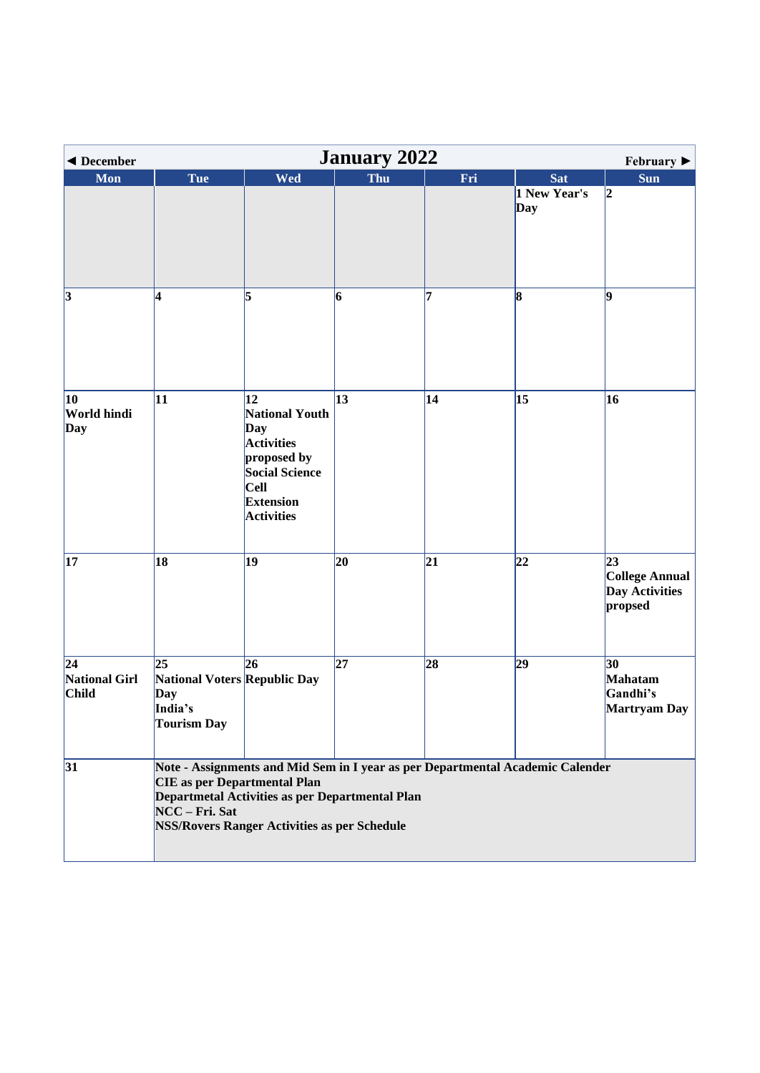<span id="page-6-0"></span>

| <b>January 2022</b><br>◀ December<br>February $\blacktriangleright$ |                                                                            |                                                                                                                                                  |                                                 |     |                                                                                |                                                          |  |  |  |
|---------------------------------------------------------------------|----------------------------------------------------------------------------|--------------------------------------------------------------------------------------------------------------------------------------------------|-------------------------------------------------|-----|--------------------------------------------------------------------------------|----------------------------------------------------------|--|--|--|
| Mon                                                                 | <b>Tue</b>                                                                 | <b>Wed</b>                                                                                                                                       | Thu                                             | Fri | <b>Sat</b>                                                                     | Sun                                                      |  |  |  |
|                                                                     |                                                                            |                                                                                                                                                  |                                                 |     | 1 New Year's<br>Day                                                            | $\vert$ <sub>2</sub>                                     |  |  |  |
| $\overline{3}$                                                      | 4                                                                          | 5                                                                                                                                                | 6                                               | 7   | 8                                                                              | 19                                                       |  |  |  |
| 10<br>World hindi<br>Day                                            | 11                                                                         | 12<br><b>National Youth</b><br>Day<br><b>Activities</b><br>proposed by<br>Social Science<br><b>Cell</b><br><b>Extension</b><br><b>Activities</b> | 13                                              | 14  | 15                                                                             | 16                                                       |  |  |  |
| 17                                                                  | 18                                                                         | 19                                                                                                                                               | 20                                              | 21  | 22                                                                             | 23<br><b>College Annual</b><br>Day Activities<br>propsed |  |  |  |
| 24 <br>National Girl<br><b>Child</b>                                | 25<br>National Voters Republic Day<br>Day<br>India's<br><b>Tourism Day</b> | 26                                                                                                                                               | 27                                              | 28  | 29                                                                             | 30<br>Mahatam<br>Gandhi's<br><b>Martryam Day</b>         |  |  |  |
| 31                                                                  | <b>CIE</b> as per Departmental Plan<br>NCC - Fri. Sat                      | <b>NSS/Rovers Ranger Activities as per Schedule</b>                                                                                              | Departmetal Activities as per Departmental Plan |     | Note - Assignments and Mid Sem in I year as per Departmental Academic Calender |                                                          |  |  |  |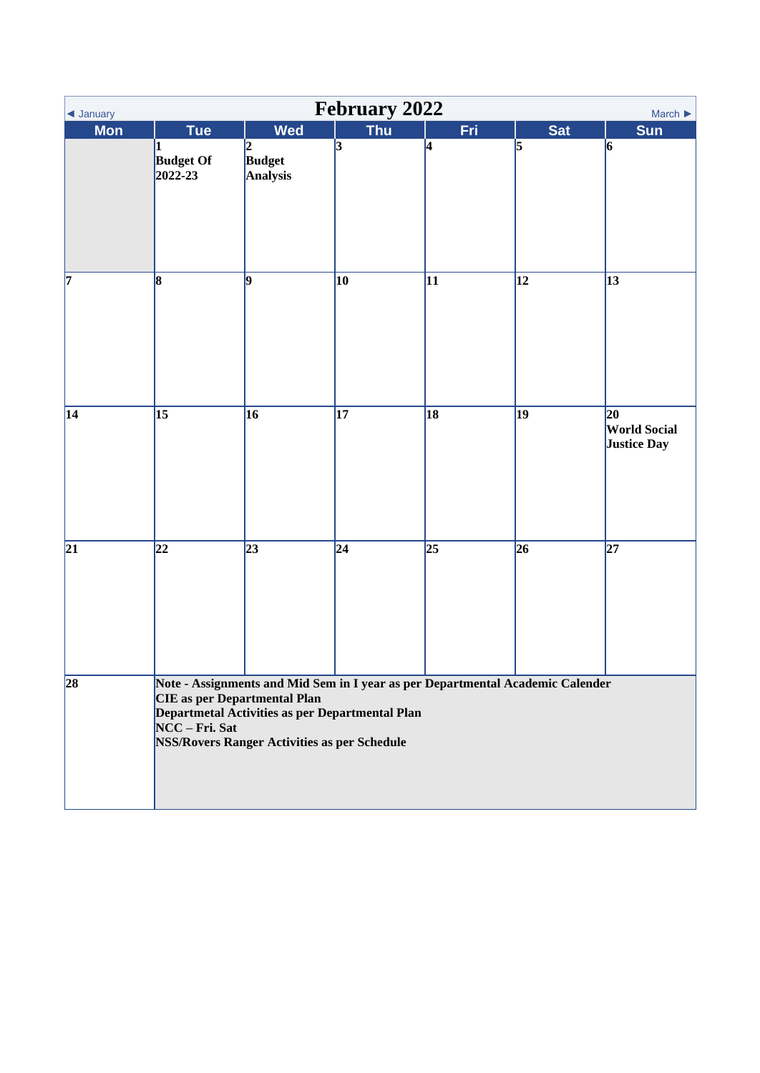<span id="page-7-0"></span>

| <b>February 2022</b><br>March $\blacktriangleright$<br>◀ January |                                                                                                                                                                                                                                                   |                                        |                 |                 |                 |                                                 |  |  |
|------------------------------------------------------------------|---------------------------------------------------------------------------------------------------------------------------------------------------------------------------------------------------------------------------------------------------|----------------------------------------|-----------------|-----------------|-----------------|-------------------------------------------------|--|--|
| <b>Mon</b>                                                       | <b>Tue</b>                                                                                                                                                                                                                                        | <b>Wed</b>                             | <b>Thu</b>      | Fri             | <b>Sat</b>      | Sun                                             |  |  |
|                                                                  | <b>Budget Of</b><br>2022-23                                                                                                                                                                                                                       | $\vert$ 2<br><b>Budget</b><br>Analysis | $\overline{3}$  | 4               | $\overline{5}$  | 6                                               |  |  |
| $\overline{7}$                                                   | $\vert$ 8                                                                                                                                                                                                                                         | 9                                      | 10              | 11              | 12              | $\overline{13}$                                 |  |  |
| $\overline{14}$                                                  | $\overline{15}$                                                                                                                                                                                                                                   | 16                                     | $\overline{17}$ | $\overline{18}$ | 19              | 20<br><b>World Social</b><br><b>Justice Day</b> |  |  |
| $\overline{21}$                                                  | $\overline{22}$                                                                                                                                                                                                                                   | $\overline{23}$                        | $\overline{24}$ | $\overline{25}$ | $\overline{26}$ | $\overline{27}$                                 |  |  |
| 28                                                               | Note - Assignments and Mid Sem in I year as per Departmental Academic Calender<br><b>CIE</b> as per Departmental Plan<br>Departmetal Activities as per Departmental Plan<br>NCC - Fri. Sat<br><b>NSS/Rovers Ranger Activities as per Schedule</b> |                                        |                 |                 |                 |                                                 |  |  |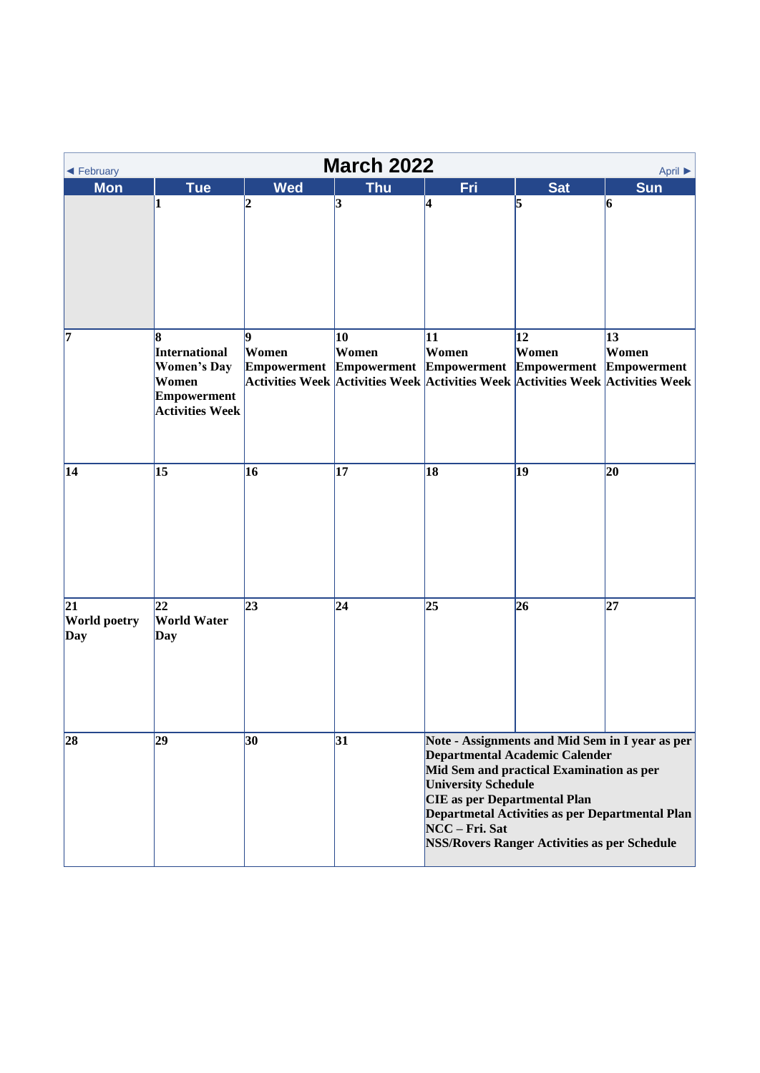<span id="page-8-0"></span>

| <b>March 2022</b><br>April ▶<br>◀ February |                                                                                            |              |             |                                                                                                                                                                                                                                                                                                                                |             |             |  |  |
|--------------------------------------------|--------------------------------------------------------------------------------------------|--------------|-------------|--------------------------------------------------------------------------------------------------------------------------------------------------------------------------------------------------------------------------------------------------------------------------------------------------------------------------------|-------------|-------------|--|--|
| <b>Mon</b>                                 | <b>Tue</b>                                                                                 | <b>Wed</b>   | <b>Thu</b>  | Fri                                                                                                                                                                                                                                                                                                                            | <b>Sat</b>  | <b>Sun</b>  |  |  |
|                                            | 1                                                                                          | 12           | 3           | 4                                                                                                                                                                                                                                                                                                                              | 5           | $\vert$ 6   |  |  |
| 7                                          | 8<br>International<br><b>Women's Day</b><br>Women<br>Empowerment<br><b>Activities Week</b> | lQ.<br>Women | 10<br>Women | 11<br>Women<br>Empowerment Empowerment Empowerment Empowerment Empowerment<br>Activities Week Activities Week Activities Week Activities Week Activities Week                                                                                                                                                                  | 12<br>Women | 13<br>Women |  |  |
| 14                                         | 15                                                                                         | 16           | 17          | 18                                                                                                                                                                                                                                                                                                                             | 19          | 20          |  |  |
| 21<br><b>World poetry</b><br>Day           | 22<br><b>World Water</b><br>Day                                                            | 23           | 24          | 25                                                                                                                                                                                                                                                                                                                             | 26          | 27          |  |  |
| 28                                         | 29                                                                                         | 30           | 31          | Note - Assignments and Mid Sem in I year as per<br>Departmental Academic Calender<br>Mid Sem and practical Examination as per<br><b>University Schedule</b><br><b>CIE</b> as per Departmental Plan<br>Departmetal Activities as per Departmental Plan<br>NCC - Fri. Sat<br><b>NSS/Rovers Ranger Activities as per Schedule</b> |             |             |  |  |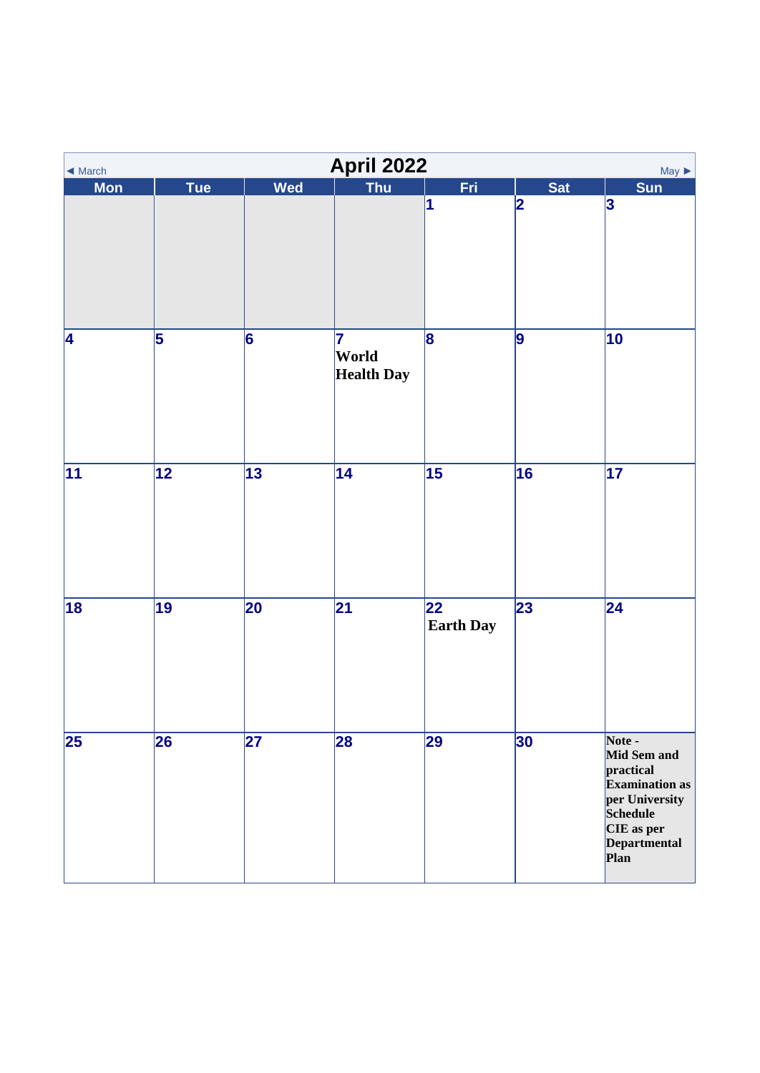<span id="page-9-0"></span>

| $\blacktriangleleft$ March |                          |                 | April 2022                       |                                     |            | $May \triangleright$                                                                                                                   |
|----------------------------|--------------------------|-----------------|----------------------------------|-------------------------------------|------------|----------------------------------------------------------------------------------------------------------------------------------------|
| <b>Mon</b>                 | Tue                      | Wed             | <b>Thu</b>                       | Fri                                 | <b>Sat</b> | <b>Sun</b>                                                                                                                             |
|                            |                          |                 |                                  | 1                                   | 2          | 3                                                                                                                                      |
| 4                          | 5                        | 6               | 17<br>World<br><b>Health Day</b> | 8                                   | 9          | $ 10\rangle$                                                                                                                           |
| 11                         | $\overline{12}$          | 13              | 14                               | $\overline{15}$                     | 16         | $\overline{17}$                                                                                                                        |
| 18                         | $\overline{19}$          | 20              | $\overline{21}$                  | $\overline{22}$<br><b>Earth Day</b> | 23         | $\overline{24}$                                                                                                                        |
| $\overline{25}$            | $\overline{\mathbf{26}}$ | $\overline{27}$ | 28                               | 29                                  | 30         | Note -<br>Mid Sem and<br>practical<br><b>Examination</b> as<br>per University<br><b>Schedule</b><br>CIE as per<br>Departmental<br>Plan |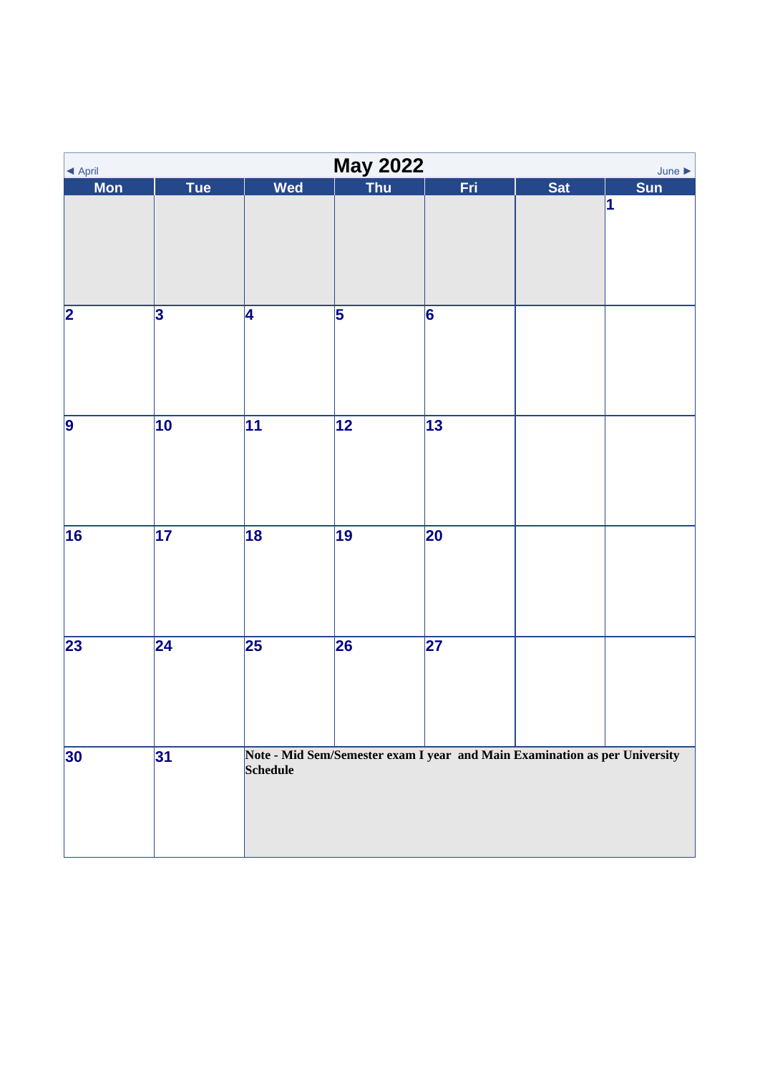<span id="page-10-0"></span>

| ◀ April                 | <b>May 2022</b><br>June $\blacktriangleright$ |                 |                 |                                                                            |            |            |  |  |  |
|-------------------------|-----------------------------------------------|-----------------|-----------------|----------------------------------------------------------------------------|------------|------------|--|--|--|
| <b>Mon</b>              | <b>Tue</b>                                    | Wed             | Thu             | Fri                                                                        | <b>Sat</b> | <b>Sun</b> |  |  |  |
|                         |                                               |                 |                 |                                                                            |            | 1          |  |  |  |
| $\overline{\mathbf{2}}$ | 3                                             | 4               | $\overline{5}$  | 6                                                                          |            |            |  |  |  |
| $\overline{9}$          | $\overline{10}$                               | $\overline{11}$ | $\overline{12}$ | $\overline{13}$                                                            |            |            |  |  |  |
| $\overline{16}$         | $\overline{17}$                               | 18              | $\overline{19}$ | 20                                                                         |            |            |  |  |  |
| 23                      | $\overline{24}$                               | $\overline{25}$ | 26              | $\overline{\mathbf{27}}$                                                   |            |            |  |  |  |
| 30                      | 31                                            | Schedule        |                 | Note - Mid Sem/Semester exam I year and Main Examination as per University |            |            |  |  |  |